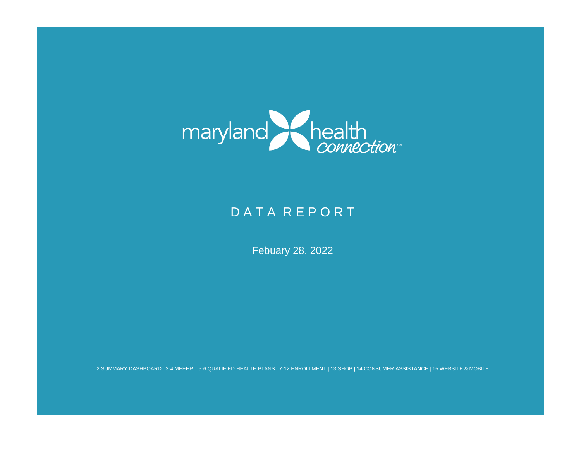

# DATA REPORT

Febuary 28, 2022

2 SUMMARY DASHBOARD |3-4 MEEHP |5-6 QUALIFIED HEALTH PLANS | 7-12 ENROLLMENT | 13 SHOP | 14 CONSUMER ASSISTANCE | 15 WEBSITE & MOBILE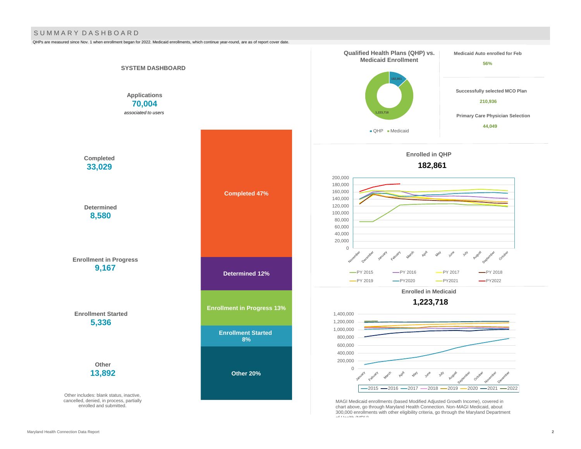#### S U M M A R Y D A S H B O A R D

QHPs are measured since Nov. 1 when enrollment began for 2022. Medicaid enrollments, which continue year-round, are as of report cover date.

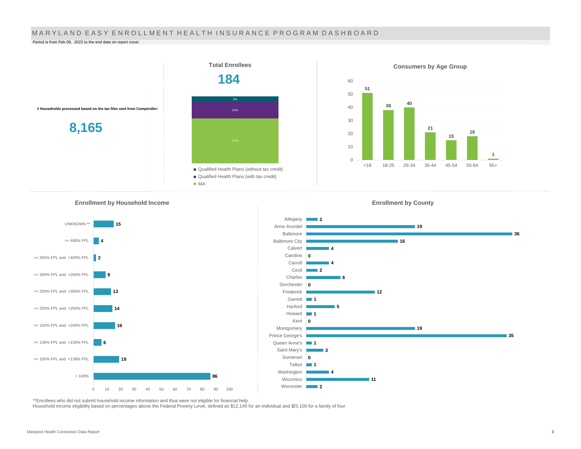#### MARYLAND EASY ENROLLMENT HEALTH INSURANCE PROGRAM DASHBOARD

Period is from Feb 09, 2022 to the end date on report cover.



**Enrollment by Household Income** 





\*\*Enrollees who did not submit household income information and thus were not eligible for financial help.

Household income eligibility based on percentages above the Federal Poverty Level, defined as \$12,140 for an individual and \$25,100 for a family of four.

**Enrollment by County**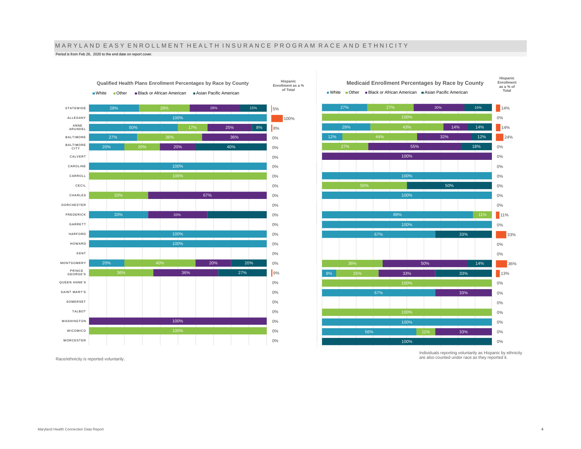# M A R Y L A N D E A S Y E N R O L L M E N T H E A L T H I N S U R A N C E P R O G R A M R A C E A N D E T H N I C I T Y

**Hispanic** 

Period is from Feb 26, 2020 to the end date on report cover.



Race/ethnicity is reported voluntarily.



Individuals reporting voluntarily as Hispanic by ethnicity are also counted under race as they reported it.

**Qualified Health Plans Enrollment Percentages by Race by County** ■ White ■ Other ■ Black or African American ■ Asian Pacific American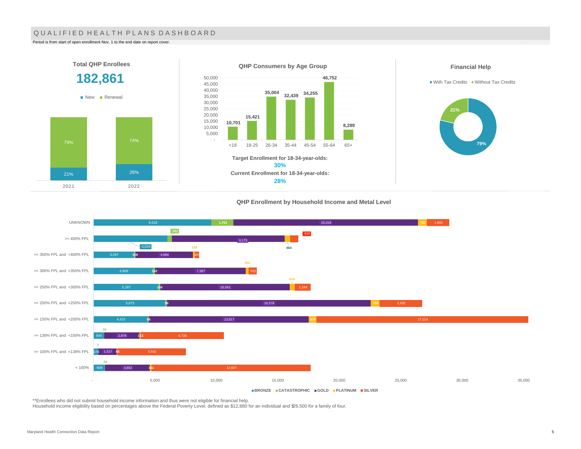### QUALIFIED HEALTH PLANS DASHBOARD

Period is from start of open enrollment Nov. 1 to the end date on report cover.

2021 2022



#### **QHP Enrollment by Household Income and Metal Level**



\*\*Enrollees who did not submit household income information and thus were not eligible for financial help.

Household income eligibility based on percentages above the Federal Poverty Level, defined as \$12,880 for an individual and \$26,500 for a family of four.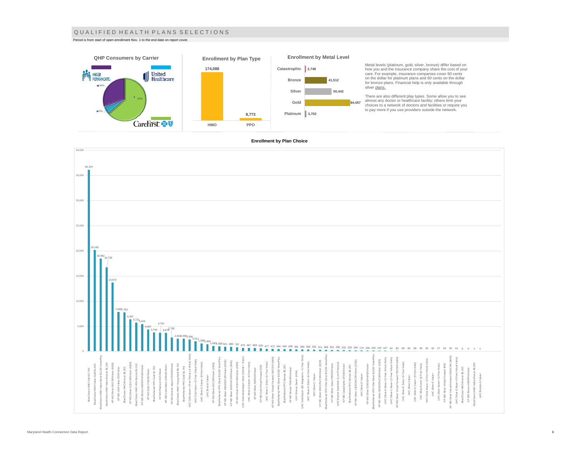#### Q U A L I F I E D H E A L T H P L A N S S E L E C T I O N S

Period is from start of open enrollment Nov. 1 to the end date on report cover.



Metal levels (platinum, gold, silver, bronze) differ based on how you and the insurance company share the cost of your care. For example, insurance companies cover 90 cents on the dollar for platinum plans and 60 cents on the dollar for bronze plans. Financial help is only available through

There are also different play types. Some allow you to see<br>almost any doctor or healthcare facility; others limit your<br>choices to a network of doctors and facilities or require you<br>to pay more if you use providers outside

#### **Enrollment by Plan Choice**

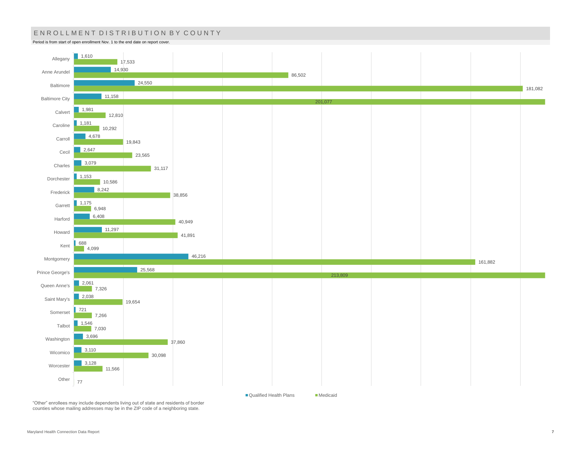# ENROLLMENT DISTRIBUTION BY COUNTY

Period is from start of open enrollment Nov. 1 to the end date on report cover.



■ Qualified Health Plans Medicaid

"Other" enrollees may include dependents living out of state and residents of border counties whose mailing addresses may be in the ZIP code of a neighboring state.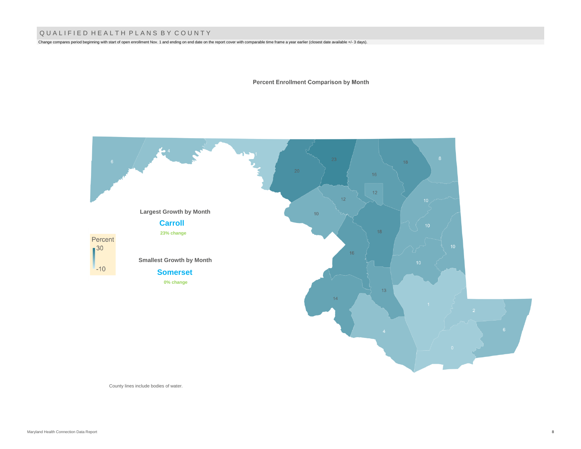## Q U A L I F I E D H E A L T H P L A N S B Y C O U N T Y

Change compares period beginning with start of open enrollment Nov. 1 and ending on end date on the report cover with comparable time frame a year earlier (closest date available +/- 3 days).

**Percent Enrollment Comparison by Month** 



County lines include bodies of water.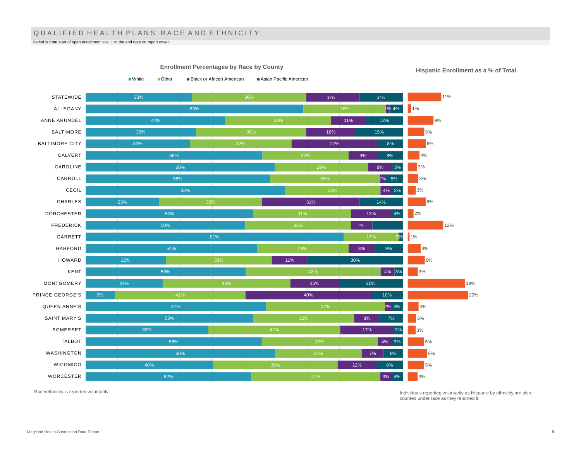## QUALIFIED HEALTH PLANS RACE AND ETHNICITY

Period is from start of open enrollment Nov. 1 to the end date on report cover.

33% 69% 44% 35% 33% 56% 60% 58% 63% 23% 53% 50% 81% 54% 25% 50% 24% 9% 57% 53% 39% 56% 60% 40% 52% 33% 32% 27% 35% 30% 17% 29% 41% 37% 32% 42% 37% 27% 39% 41% 17% 1% 4% 11% 16% 27% 9% 8% 2% 5% 4% 3% 31% 13% 0% 1% 8% 11% 4% 3% 15% 40% 2% 4% 8% 17% 4% 3% 7% 12% 3% 4% 14% 12% 15% 8% 8% 3% 14% 4% 9% 30% 20% 10% 7% 3% 6% 8% **STATEWIDE** ALLEGANY ANNE ARUNDEL BALTIMORE BALTIMORE CITY CALVERT CAROLINE CARROLL CECIL CHARLES DORCHESTER FREDERICK GARRETT HARFORD HOWARD KENT MONTGOMERY PRINCE GEORGE'S QUEEN ANNE'S SAINT MARY'S SOMERSET TALBOT WASHINGTON WICOMICO WORCESTER 11% 1% 9% 5% 6%  $4%$ 3% 3% 3% 6% 2% 12% 1% 4% 6% 3% 19% 20% 4% 3% 3% 5% 6% 5% 3%

**Enrollment Percentages by Race by County** ■White ■ Other ■ Black or African American ■ Asian Pacific American

**Hispanic Enrollment as a % of Total**

Race/ethnicity is reported voluntarily.

Individuals reporting voluntarily as Hispanic by ethnicity are also counted under race as they reported it.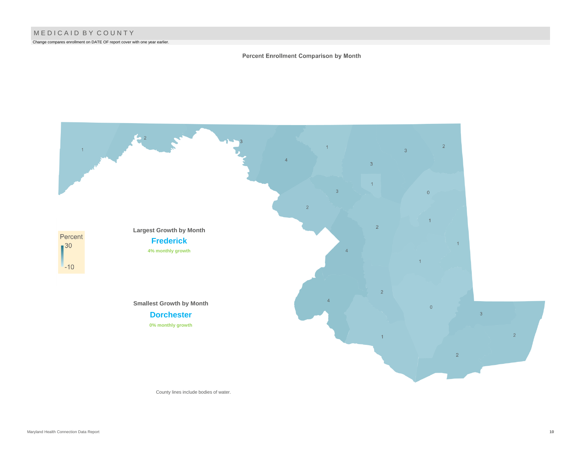Change compares enrollment on DATE OF report cover with one year earlier.

### Percent Enrollment Comparison by Month



County lines include bodies of water.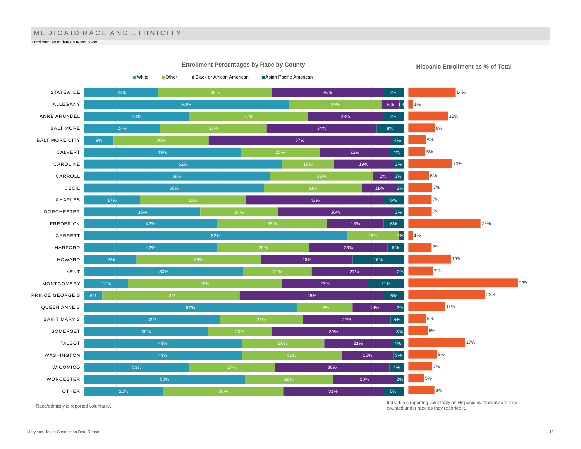# MEDICAID RACE AND ETHNICITY

Enrollment as of date on report cover..



**Enrollment Percentages by Race by County**

**Hispanic Enrollment as % of Total**

Race/ethnicity is reported voluntarily.

Individuals reporting voluntarily as Hispanic by ethnicity are also counted under race as they reported it.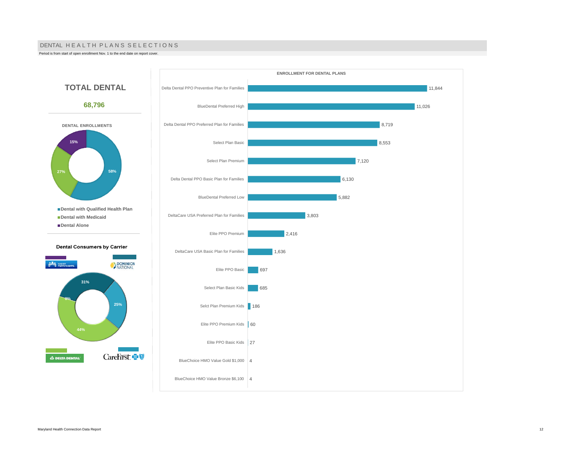#### DENTAL HE A L TH PLANS SELECTIONS

Period is from start of open enrollment Nov. 1 to the end date on report cover.

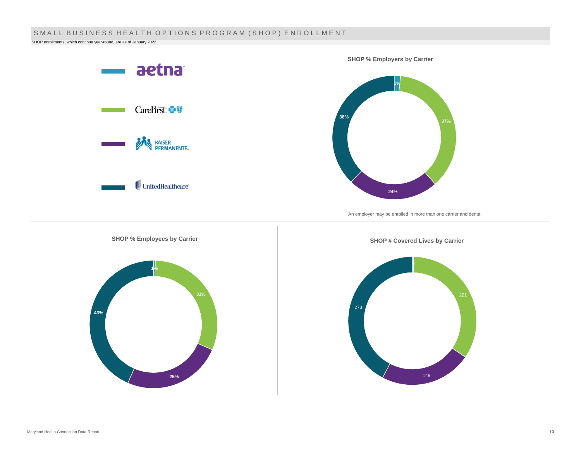# SMALL BUSINESS HEALTH OPTIONS PROGRAM (SHOP) ENROLLMENT

SHOP enrollments, which continue year-round, are as of January 2022

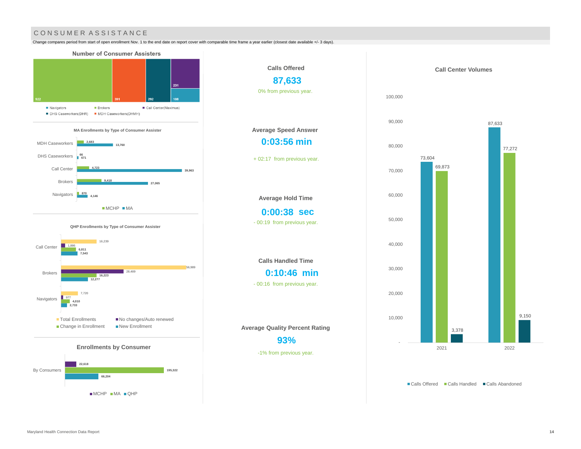# CONSUMER ASSISTANCE

Change compares period from start of open enrollment Nov. 1 to the end date on report cover with comparable time frame a year earlier (closest date available +/- 3 days).



MCHP MA QHP





■ Calls Offered ■ Calls Handled ■ Calls Abandoned